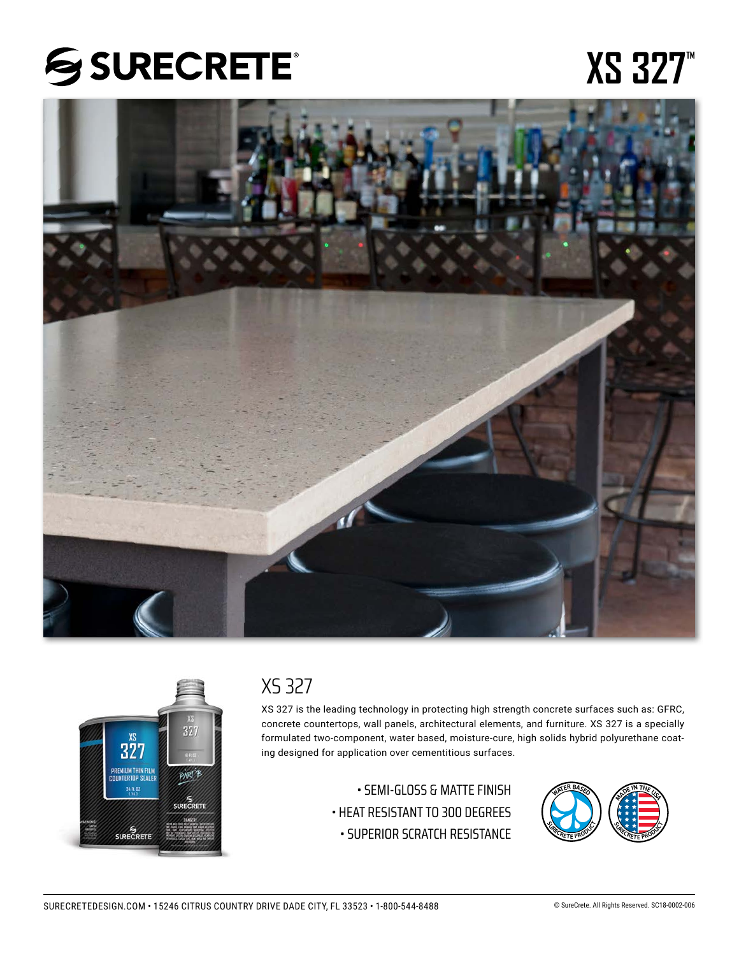# **SSURECRETE®**

# **XS 327**<sup>™</sup>





# XS 327

XS 327 is the leading technology in protecting high strength concrete surfaces such as: GFRC, concrete countertops, wall panels, architectural elements, and furniture. XS 327 is a specially formulated two-component, water based, moisture-cure, high solids hybrid polyurethane coating designed for application over cementitious surfaces.

> • SEMI-GLOSS & MATTE FINISH • HEAT RESISTANT TO 300 DEGREES • SUPERIOR SCRATCH RESISTANCE